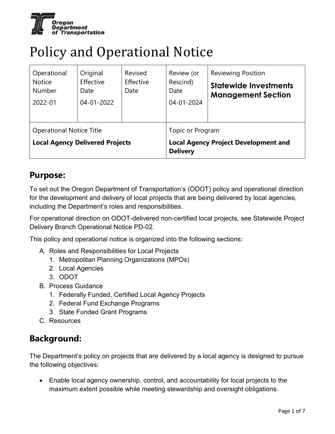

## Policy and Operational Notice

| Operational<br><b>Notice</b><br><b>Number</b><br>2022-01                  | Original<br>Effective<br>Date<br>04-01-2022 | Revised<br>Effective<br>Date | Review (or<br>Rescind)<br>Date<br>04-01-2024                    | <b>Reviewing Position</b><br><b>Statewide Investments</b><br><b>Management Section</b> |  |
|---------------------------------------------------------------------------|---------------------------------------------|------------------------------|-----------------------------------------------------------------|----------------------------------------------------------------------------------------|--|
| <b>Operational Notice Title</b><br><b>Local Agency Delivered Projects</b> |                                             |                              | Topic or Program<br><b>Local Agency Project Development and</b> |                                                                                        |  |
|                                                                           |                                             | <b>Delivery</b>              |                                                                 |                                                                                        |  |

### **Purpose:**

To set out the Oregon Department of Transportation's (ODOT) policy and operational direction for the development and delivery of local projects that are being delivered by local agencies, including the Department's roles and responsibilities.

For operational direction on ODOT-delivered non-certified local projects, see Statewide Project Delivery Branch Operational Notice PD-02.

This policy and operational notice is organized into the following sections:

- A. Roles and Responsibilities for Local Projects
	- 1. Metropolitan Planning Organizations (MPOs)
	- 2. Local Agencies
	- 3. ODOT
- B. Process Guidance
	- 1. Federally Funded, Certified Local Agency Projects
	- 2. Federal Fund Exchange Programs
	- 3. State Funded Grant Programs
- C. Resources

### **Background:**

The Department's policy on projects that are delivered by a local agency is designed to pursue the following objectives:

• Enable local agency ownership, control, and accountability for local projects to the maximum extent possible while meeting stewardship and oversight obligations.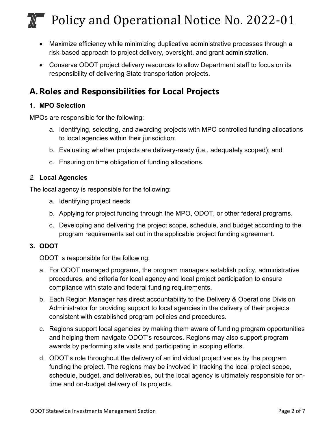- Maximize efficiency while minimizing duplicative administrative processes through a risk-based approach to project delivery, oversight, and grant administration.
- Conserve ODOT project delivery resources to allow Department staff to focus on its responsibility of delivering State transportation projects.

## **A.Roles and Responsibilities for Local Projects**

#### **1. MPO Selection**

MPOs are responsible for the following:

- a. Identifying, selecting, and awarding projects with MPO controlled funding allocations to local agencies within their jurisdiction;
- b. Evaluating whether projects are delivery-ready (i.e., adequately scoped); and
- c. Ensuring on time obligation of funding allocations.

#### *2.* **Local Agencies**

The local agency is responsible for the following:

- a. Identifying project needs
- b. Applying for project funding through the MPO, ODOT, or other federal programs.
- c. Developing and delivering the project scope, schedule, and budget according to the program requirements set out in the applicable project funding agreement.

#### **3. ODOT**

ODOT is responsible for the following:

- a. For ODOT managed programs, the program managers establish policy, administrative procedures, and criteria for local agency and local project participation to ensure compliance with state and federal funding requirements.
- b. Each Region Manager has direct accountability to the Delivery & Operations Division Administrator for providing support to local agencies in the delivery of their projects consistent with established program policies and procedures.
- c. Regions support local agencies by making them aware of funding program opportunities and helping them navigate ODOT's resources. Regions may also support program awards by performing site visits and participating in scoping efforts.
- d. ODOT's role throughout the delivery of an individual project varies by the program funding the project. The regions may be involved in tracking the local project scope, schedule, budget, and deliverables, but the local agency is ultimately responsible for ontime and on-budget delivery of its projects.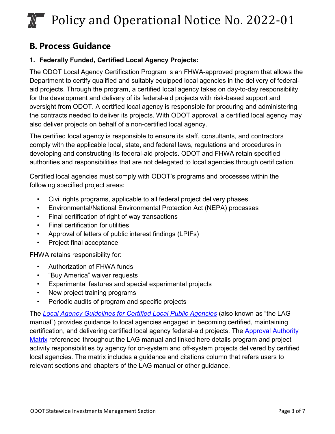### **B. Process Guidance**

#### **1. Federally Funded, Certified Local Agency Projects:**

The ODOT Local Agency Certification Program is an FHWA-approved program that allows the Department to certify qualified and suitably equipped local agencies in the delivery of federalaid projects. Through the program, a certified local agency takes on day-to-day responsibility for the development and delivery of its federal-aid projects with risk-based support and oversight from ODOT. A certified local agency is responsible for procuring and administering the contracts needed to deliver its projects. With ODOT approval, a certified local agency may also deliver projects on behalf of a non-certified local agency.

The certified local agency is responsible to ensure its staff, consultants, and contractors comply with the applicable local, state, and federal laws, regulations and procedures in developing and constructing its federal-aid projects. ODOT and FHWA retain specified authorities and responsibilities that are not delegated to local agencies through certification.

Certified local agencies must comply with ODOT's programs and processes within the following specified project areas:

- Civil rights programs, applicable to all federal project delivery phases.
- Environmental/National Environmental Protection Act (NEPA) processes
- Final certification of right of way transactions
- Final certification for utilities
- Approval of letters of public interest findings (LPIFs)
- Project final acceptance

FHWA retains responsibility for:

- Authorization of FHWA funds
- "Buy America" waiver requests
- Experimental features and special experimental projects
- New project training programs
- Periodic audits of program and specific projects

The *[Local Agency Guidelines for Certified Local Public Agencies](https://www.oregon.gov/odot/LocalGov/Pages/LAG-Manual.aspx)* (also known as "the LAG manual") provides guidance to local agencies engaged in becoming certified, maintaining certification, and delivering certified local agency federal-aid projects. The [Approval Authority](https://www.oregon.gov/ODOT/Forms/2ODOT/5191.pdf)  [Matrix](https://www.oregon.gov/ODOT/Forms/2ODOT/5191.pdf) referenced throughout the LAG manual and linked here details program and project activity responsibilities by agency for on-system and off-system projects delivered by certified local agencies. The matrix includes a guidance and citations column that refers users to relevant sections and chapters of the LAG manual or other guidance.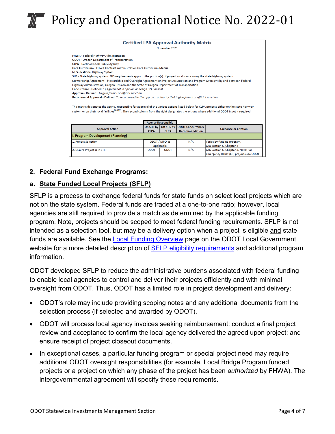| <b>Certified LPA Approval Authority Matrix</b>                                                                                                                                                                                                                                                              |             |                           |                          |                                         |  |  |  |
|-------------------------------------------------------------------------------------------------------------------------------------------------------------------------------------------------------------------------------------------------------------------------------------------------------------|-------------|---------------------------|--------------------------|-----------------------------------------|--|--|--|
| November 2021                                                                                                                                                                                                                                                                                               |             |                           |                          |                                         |  |  |  |
| <b>FHWA</b> - Federal Highway Administration                                                                                                                                                                                                                                                                |             |                           |                          |                                         |  |  |  |
| <b>ODOT</b> - Oregon Department of Transportation                                                                                                                                                                                                                                                           |             |                           |                          |                                         |  |  |  |
| <b>CLPA - Certified Local Public Agency</b>                                                                                                                                                                                                                                                                 |             |                           |                          |                                         |  |  |  |
| Core Curriculum - FHWA Contract Administration Core Curriculum Manual                                                                                                                                                                                                                                       |             |                           |                          |                                         |  |  |  |
| <b>NHS</b> - National Highway System                                                                                                                                                                                                                                                                        |             |                           |                          |                                         |  |  |  |
| SHS - State highway system. SHS requirements apply to the portion(s) of project work on or along the state highway system.                                                                                                                                                                                  |             |                           |                          |                                         |  |  |  |
| Stewardship Agreement - Stewardship and Oversight Agreement on Project Assumption and Program Oversight by and between Federal                                                                                                                                                                              |             |                           |                          |                                         |  |  |  |
| Highway Administration, Oregon Division and the State of Oregon Department of Transportation                                                                                                                                                                                                                |             |                           |                          |                                         |  |  |  |
| Concurrence - Defined: 1) Agreement in opinion or design : 2) Consent                                                                                                                                                                                                                                       |             |                           |                          |                                         |  |  |  |
| Approve - Defined: To give formal or official sanction                                                                                                                                                                                                                                                      |             |                           |                          |                                         |  |  |  |
| Recommend Approval - Defined: To recommend to the approval authority that it give formal or official sanction                                                                                                                                                                                               |             |                           |                          |                                         |  |  |  |
| This matrix designates the agency responsible for approval of the various actions listed below for CLPA projects either on the state highway<br>system or on their local facilities <sup>(1)(2)(7)</sup> . The second column from the right designates the actions where additional ODOT input is required. |             |                           |                          |                                         |  |  |  |
|                                                                                                                                                                                                                                                                                                             |             | <b>Agency Responsible</b> |                          |                                         |  |  |  |
| <b>Approval Action</b>                                                                                                                                                                                                                                                                                      | On SHS by   | Off SHS by                | <b>ODOT Concurrence/</b> | <b>Guidance or Citation</b>             |  |  |  |
|                                                                                                                                                                                                                                                                                                             | <b>CLPA</b> | <b>CLPA</b>               | Recommendation           |                                         |  |  |  |
| I. Program Development (Planning)                                                                                                                                                                                                                                                                           |             |                           |                          |                                         |  |  |  |
| 1. Project Selection                                                                                                                                                                                                                                                                                        |             | ODOT / MPO as             | N/A                      | Varies by funding program.              |  |  |  |
|                                                                                                                                                                                                                                                                                                             | applicable  |                           |                          | LAG Section C, Chapter 2                |  |  |  |
| 2. Ensure Project is in STIP                                                                                                                                                                                                                                                                                | <b>ODOT</b> | <b>ODOT</b>               | N/A                      | LAG Section C, Chapter 3. Note: For     |  |  |  |
|                                                                                                                                                                                                                                                                                                             |             |                           |                          | Emergency Relief (ER) projects see ODOT |  |  |  |

#### **2. Federal Fund Exchange Programs:**

#### **a. State Funded Local Projects (SFLP)**

SFLP is a process to exchange federal funds for state funds on select local projects which are not on the state system. Federal funds are traded at a one-to-one ratio; however, local agencies are still required to provide a match as determined by the applicable funding program. Note, projects should be scoped to meet federal funding requirements. SFLP is not intended as a selection tool, but may be a delivery option when a project is eligible and state funds are available. See the [Local Funding Overview](https://www.oregon.gov/odot/LocalGov/Pages/Funding.aspx) page on the ODOT Local Government website for a more detailed description of **SFLP** eligibility requirements and additional program information.

ODOT developed SFLP to reduce the administrative burdens associated with federal funding to enable local agencies to control and deliver their projects efficiently and with minimal oversight from ODOT. Thus, ODOT has a limited role in project development and delivery:

- ODOT's role may include providing scoping notes and any additional documents from the selection process (if selected and awarded by ODOT).
- ODOT will process local agency invoices seeking reimbursement; conduct a final project review and acceptance to confirm the local agency delivered the agreed upon project; and ensure receipt of project closeout documents.
- In exceptional cases, a particular funding program or special project need may require additional ODOT oversight responsibilities (for example, Local Bridge Program funded projects or a project on which any phase of the project has been *authorized* by FHWA). The intergovernmental agreement will specify these requirements.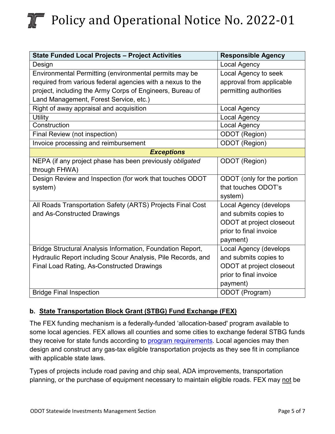| <b>State Funded Local Projects - Project Activities</b>      | <b>Responsible Agency</b>     |  |  |  |
|--------------------------------------------------------------|-------------------------------|--|--|--|
| Design                                                       | <b>Local Agency</b>           |  |  |  |
| Environmental Permitting (environmental permits may be       | Local Agency to seek          |  |  |  |
| required from various federal agencies with a nexus to the   | approval from applicable      |  |  |  |
| project, including the Army Corps of Engineers, Bureau of    | permitting authorities        |  |  |  |
| Land Management, Forest Service, etc.)                       |                               |  |  |  |
| Right of away appraisal and acquisition                      | <b>Local Agency</b>           |  |  |  |
| <b>Utility</b>                                               | <b>Local Agency</b>           |  |  |  |
| Construction                                                 | Local Agency                  |  |  |  |
| Final Review (not inspection)                                | ODOT (Region)                 |  |  |  |
| Invoice processing and reimbursement                         | ODOT (Region)                 |  |  |  |
| <b>Exceptions</b>                                            |                               |  |  |  |
| NEPA (if any project phase has been previously obligated     | ODOT (Region)                 |  |  |  |
| through FHWA)                                                |                               |  |  |  |
| Design Review and Inspection (for work that touches ODOT     | ODOT (only for the portion    |  |  |  |
| system)                                                      | that touches ODOT's           |  |  |  |
|                                                              | system)                       |  |  |  |
| All Roads Transportation Safety (ARTS) Projects Final Cost   | <b>Local Agency (develops</b> |  |  |  |
| and As-Constructed Drawings                                  | and submits copies to         |  |  |  |
|                                                              | ODOT at project closeout      |  |  |  |
|                                                              | prior to final invoice        |  |  |  |
|                                                              | payment)                      |  |  |  |
| Bridge Structural Analysis Information, Foundation Report,   | Local Agency (develops        |  |  |  |
| Hydraulic Report including Scour Analysis, Pile Records, and | and submits copies to         |  |  |  |
| Final Load Rating, As-Constructed Drawings                   | ODOT at project closeout      |  |  |  |
|                                                              | prior to final invoice        |  |  |  |
|                                                              | payment)                      |  |  |  |
| <b>Bridge Final Inspection</b>                               | ODOT (Program)                |  |  |  |

#### **b. State Transportation Block Grant (STBG) Fund Exchange (FEX)**

The [FEX funding mechanism i](http://www.oregon.gov/ODOT/TD/AT/docs/Local_Program/FundExchange_FAQs.pdf)s a federally-funded 'allocation-based' program available to some local agencies. FEX allows all counties and some cities to exchange federal STBG funds they receive for state funds according to [program requirements.](https://www.oregon.gov/odot/LocalGov/Documents/2021%20Fund%20Exchange%20Overview.pdf) Local agencies may then design and construct any gas-tax eligible transportation projects as they see fit in compliance with applicable state laws.

Types of projects include road paving and chip seal, ADA improvements, transportation planning, or the purchase of equipment necessary to maintain eligible roads. FEX may not be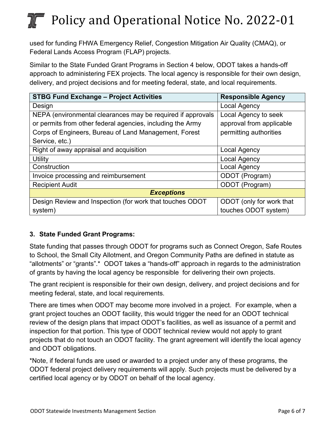used for funding FHWA Emergency Relief, Congestion Mitigation Air Quality (CMAQ), or Federal Lands Access Program (FLAP) projects.

Similar to the State Funded Grant Programs in Section 4 below, ODOT takes a hands-off approach to administering FEX projects. The local agency is responsible for their own design, delivery, and project decisions and for meeting federal, state, and local requirements.

| <b>STBG Fund Exchange - Project Activities</b>              | <b>Responsible Agency</b> |  |  |  |
|-------------------------------------------------------------|---------------------------|--|--|--|
| Design                                                      | <b>Local Agency</b>       |  |  |  |
| NEPA (environmental clearances may be required if approvals | Local Agency to seek      |  |  |  |
| or permits from other federal agencies, including the Army  | approval from applicable  |  |  |  |
| Corps of Engineers, Bureau of Land Management, Forest       | permitting authorities    |  |  |  |
| Service, etc.)                                              |                           |  |  |  |
| Right of away appraisal and acquisition                     | Local Agency              |  |  |  |
| Utility                                                     | <b>Local Agency</b>       |  |  |  |
| Construction                                                | <b>Local Agency</b>       |  |  |  |
| Invoice processing and reimbursement                        | ODOT (Program)            |  |  |  |
| <b>Recipient Audit</b>                                      | ODOT (Program)            |  |  |  |
| <b>Exceptions</b>                                           |                           |  |  |  |
| Design Review and Inspection (for work that touches ODOT    | ODOT (only for work that  |  |  |  |
| system)                                                     | touches ODOT system)      |  |  |  |

#### **3. State Funded Grant Programs:**

State funding that passes through ODOT for programs such as Connect Oregon, Safe Routes to School, the Small City Allotment, and Oregon Community Paths are defined in statute as "allotments" or "grants".\* ODOT takes a "hands-off" approach in regards to the administration of grants by having the local agency be responsible for delivering their own projects.

The grant recipient is responsible for their own design, delivery, and project decisions and for meeting federal, state, and local requirements.

There are times when ODOT may become more involved in a project. For example, when a grant project touches an ODOT facility, this would trigger the need for an ODOT technical review of the design plans that impact ODOT's facilities, as well as issuance of a permit and inspection for that portion. This type of ODOT technical review would not apply to grant projects that do not touch an ODOT facility. The grant agreement will identify the local agency and ODOT obligations.

\*Note, if federal funds are used or awarded to a project under any of these programs, the ODOT federal project delivery requirements will apply. Such projects must be delivered by a certified local agency or by ODOT on behalf of the local agency.